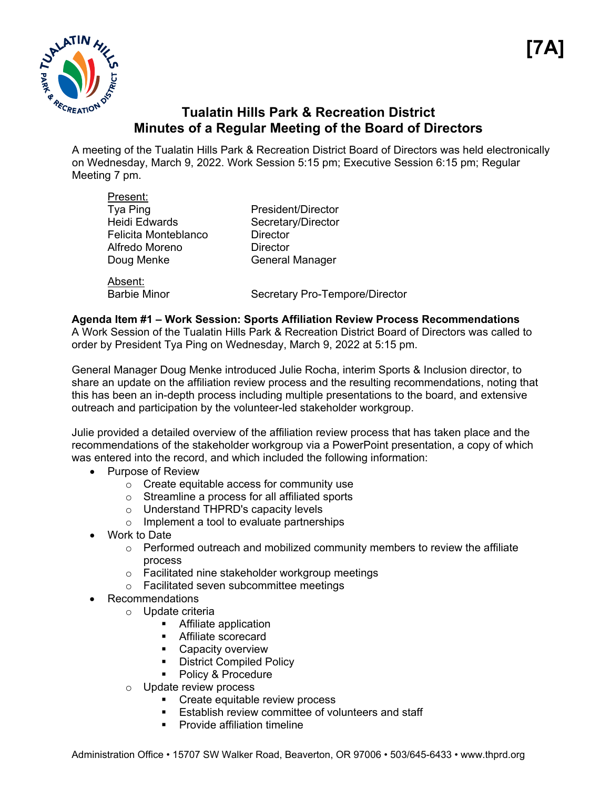

# **Tualatin Hills Park & Recreation District Minutes of a Regular Meeting of the Board of Directors**

A meeting of the Tualatin Hills Park & Recreation District Board of Directors was held electronically on Wednesday, March 9, 2022. Work Session 5:15 pm; Executive Session 6:15 pm; Regular Meeting 7 pm.

| Present:             |                                |
|----------------------|--------------------------------|
| Tya Ping             | President/Director             |
| <b>Heidi Edwards</b> | Secretary/Director             |
| Felicita Monteblanco | Director                       |
| Alfredo Moreno       | Director                       |
| Doug Menke           | <b>General Manager</b>         |
| Absent:              |                                |
| <b>Barbie Minor</b>  | Secretary Pro-Tempore/Director |

# **Agenda Item #1 – Work Session: Sports Affiliation Review Process Recommendations**

A Work Session of the Tualatin Hills Park & Recreation District Board of Directors was called to order by President Tya Ping on Wednesday, March 9, 2022 at 5:15 pm.

General Manager Doug Menke introduced Julie Rocha, interim Sports & Inclusion director, to share an update on the affiliation review process and the resulting recommendations, noting that this has been an in-depth process including multiple presentations to the board, and extensive outreach and participation by the volunteer-led stakeholder workgroup.

Julie provided a detailed overview of the affiliation review process that has taken place and the recommendations of the stakeholder workgroup via a PowerPoint presentation, a copy of which was entered into the record, and which included the following information:

- Purpose of Review
	- o Create equitable access for community use
	- o Streamline a process for all affiliated sports
	- o Understand THPRD's capacity levels
	- o Implement a tool to evaluate partnerships
- Work to Date
	- $\circ$  Performed outreach and mobilized community members to review the affiliate process
	- o Facilitated nine stakeholder workgroup meetings
	- o Facilitated seven subcommittee meetings
- Recommendations
	- o Update criteria
		- **Affiliate application**
		- **Affiliate scorecard**
		- **Capacity overview**
		- **-** District Compiled Policy
		- Policy & Procedure
	- o Update review process
		- Create equitable review process
		- **Establish review committee of volunteers and staff**
		- **•** Provide affiliation timeline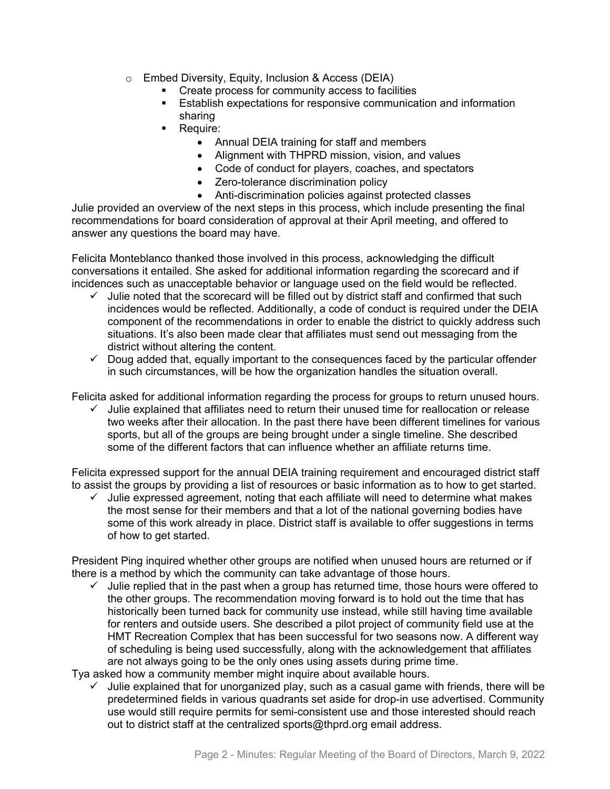- o Embed Diversity, Equity, Inclusion & Access (DEIA)
	- **Create process for community access to facilities**
	- Establish expectations for responsive communication and information sharing
	- Require:
		- Annual DEIA training for staff and members
		- Alignment with THPRD mission, vision, and values
		- Code of conduct for players, coaches, and spectators
		- Zero-tolerance discrimination policy
		- Anti-discrimination policies against protected classes

Julie provided an overview of the next steps in this process, which include presenting the final recommendations for board consideration of approval at their April meeting, and offered to answer any questions the board may have.

Felicita Monteblanco thanked those involved in this process, acknowledging the difficult conversations it entailed. She asked for additional information regarding the scorecard and if incidences such as unacceptable behavior or language used on the field would be reflected.

- $\checkmark$  Julie noted that the scorecard will be filled out by district staff and confirmed that such incidences would be reflected. Additionally, a code of conduct is required under the DEIA component of the recommendations in order to enable the district to quickly address such situations. It's also been made clear that affiliates must send out messaging from the district without altering the content.
- $\checkmark$  Doug added that, equally important to the consequences faced by the particular offender in such circumstances, will be how the organization handles the situation overall.

Felicita asked for additional information regarding the process for groups to return unused hours.

 $\checkmark$  Julie explained that affiliates need to return their unused time for reallocation or release two weeks after their allocation. In the past there have been different timelines for various sports, but all of the groups are being brought under a single timeline. She described some of the different factors that can influence whether an affiliate returns time.

Felicita expressed support for the annual DEIA training requirement and encouraged district staff to assist the groups by providing a list of resources or basic information as to how to get started.

 $\checkmark$  Julie expressed agreement, noting that each affiliate will need to determine what makes the most sense for their members and that a lot of the national governing bodies have some of this work already in place. District staff is available to offer suggestions in terms of how to get started.

President Ping inquired whether other groups are notified when unused hours are returned or if there is a method by which the community can take advantage of those hours.

 $\checkmark$  Julie replied that in the past when a group has returned time, those hours were offered to the other groups. The recommendation moving forward is to hold out the time that has historically been turned back for community use instead, while still having time available for renters and outside users. She described a pilot project of community field use at the HMT Recreation Complex that has been successful for two seasons now. A different way of scheduling is being used successfully, along with the acknowledgement that affiliates are not always going to be the only ones using assets during prime time.

Tya asked how a community member might inquire about available hours.

 $\checkmark$  Julie explained that for unorganized play, such as a casual game with friends, there will be predetermined fields in various quadrants set aside for drop-in use advertised. Community use would still require permits for semi-consistent use and those interested should reach out to district staff at the centralized sports@thprd.org email address.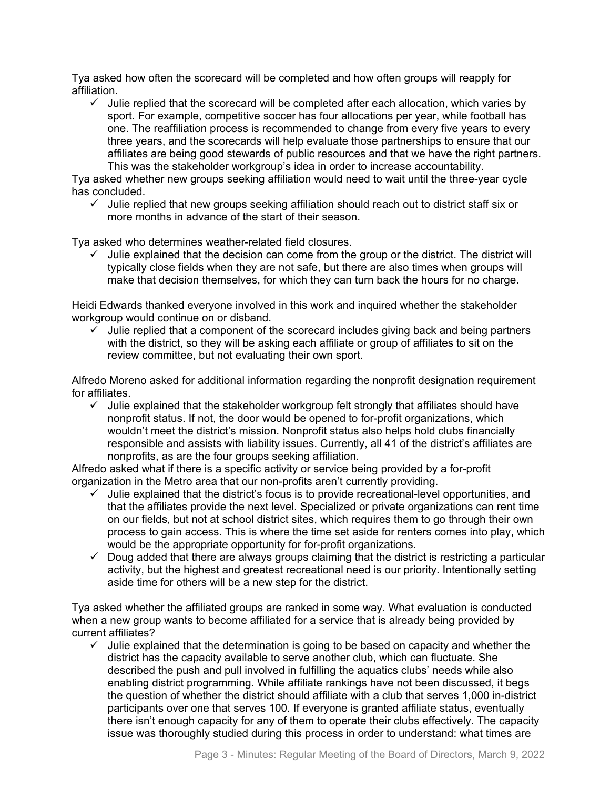Tya asked how often the scorecard will be completed and how often groups will reapply for affiliation.

 $\checkmark$  Julie replied that the scorecard will be completed after each allocation, which varies by sport. For example, competitive soccer has four allocations per year, while football has one. The reaffiliation process is recommended to change from every five years to every three years, and the scorecards will help evaluate those partnerships to ensure that our affiliates are being good stewards of public resources and that we have the right partners. This was the stakeholder workgroup's idea in order to increase accountability.

Tya asked whether new groups seeking affiliation would need to wait until the three-year cycle has concluded.

 $\checkmark$  Julie replied that new groups seeking affiliation should reach out to district staff six or more months in advance of the start of their season.

Tya asked who determines weather-related field closures.

 $\checkmark$  Julie explained that the decision can come from the group or the district. The district will typically close fields when they are not safe, but there are also times when groups will make that decision themselves, for which they can turn back the hours for no charge.

Heidi Edwards thanked everyone involved in this work and inquired whether the stakeholder workgroup would continue on or disband.

 $\checkmark$  Julie replied that a component of the scorecard includes giving back and being partners with the district, so they will be asking each affiliate or group of affiliates to sit on the review committee, but not evaluating their own sport.

Alfredo Moreno asked for additional information regarding the nonprofit designation requirement for affiliates.

 $\checkmark$  Julie explained that the stakeholder workgroup felt strongly that affiliates should have nonprofit status. If not, the door would be opened to for-profit organizations, which wouldn't meet the district's mission. Nonprofit status also helps hold clubs financially responsible and assists with liability issues. Currently, all 41 of the district's affiliates are nonprofits, as are the four groups seeking affiliation.

Alfredo asked what if there is a specific activity or service being provided by a for-profit organization in the Metro area that our non-profits aren't currently providing.

- $\checkmark$  Julie explained that the district's focus is to provide recreational-level opportunities, and that the affiliates provide the next level. Specialized or private organizations can rent time on our fields, but not at school district sites, which requires them to go through their own process to gain access. This is where the time set aside for renters comes into play, which would be the appropriate opportunity for for-profit organizations.
- $\checkmark$  Doug added that there are always groups claiming that the district is restricting a particular activity, but the highest and greatest recreational need is our priority. Intentionally setting aside time for others will be a new step for the district.

Tya asked whether the affiliated groups are ranked in some way. What evaluation is conducted when a new group wants to become affiliated for a service that is already being provided by current affiliates?

 $\checkmark$  Julie explained that the determination is going to be based on capacity and whether the district has the capacity available to serve another club, which can fluctuate. She described the push and pull involved in fulfilling the aquatics clubs' needs while also enabling district programming. While affiliate rankings have not been discussed, it begs the question of whether the district should affiliate with a club that serves 1,000 in-district participants over one that serves 100. If everyone is granted affiliate status, eventually there isn't enough capacity for any of them to operate their clubs effectively. The capacity issue was thoroughly studied during this process in order to understand: what times are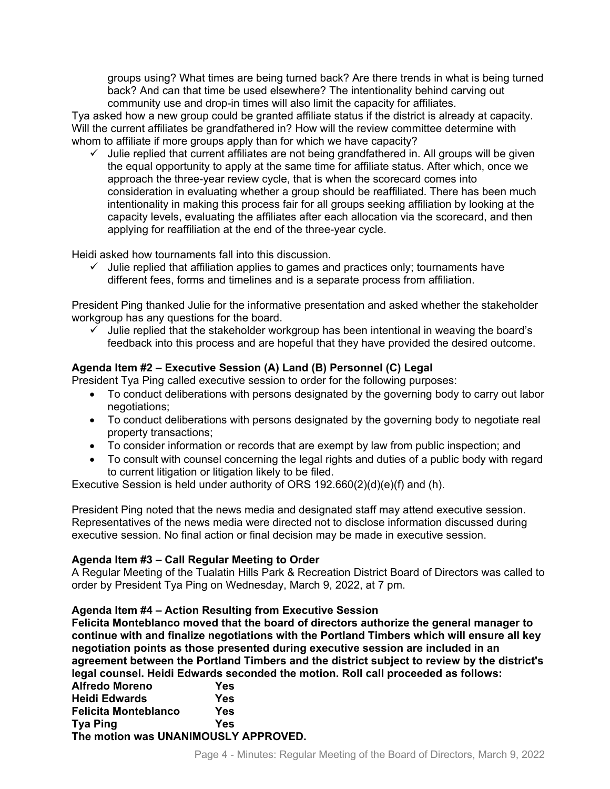groups using? What times are being turned back? Are there trends in what is being turned back? And can that time be used elsewhere? The intentionality behind carving out community use and drop-in times will also limit the capacity for affiliates.

Tya asked how a new group could be granted affiliate status if the district is already at capacity. Will the current affiliates be grandfathered in? How will the review committee determine with whom to affiliate if more groups apply than for which we have capacity?

 $\checkmark$  Julie replied that current affiliates are not being grandfathered in. All groups will be given the equal opportunity to apply at the same time for affiliate status. After which, once we approach the three-year review cycle, that is when the scorecard comes into consideration in evaluating whether a group should be reaffiliated. There has been much intentionality in making this process fair for all groups seeking affiliation by looking at the capacity levels, evaluating the affiliates after each allocation via the scorecard, and then applying for reaffiliation at the end of the three-year cycle.

Heidi asked how tournaments fall into this discussion.

 $\checkmark$  Julie replied that affiliation applies to games and practices only; tournaments have different fees, forms and timelines and is a separate process from affiliation.

President Ping thanked Julie for the informative presentation and asked whether the stakeholder workgroup has any questions for the board.

 $\checkmark$  Julie replied that the stakeholder workgroup has been intentional in weaving the board's feedback into this process and are hopeful that they have provided the desired outcome.

# **Agenda Item #2 – Executive Session (A) Land (B) Personnel (C) Legal**

President Tya Ping called executive session to order for the following purposes:

- To conduct deliberations with persons designated by the governing body to carry out labor negotiations;
- To conduct deliberations with persons designated by the governing body to negotiate real property transactions;
- To consider information or records that are exempt by law from public inspection; and
- To consult with counsel concerning the legal rights and duties of a public body with regard to current litigation or litigation likely to be filed.

Executive Session is held under authority of ORS 192.660(2)(d)(e)(f) and (h).

President Ping noted that the news media and designated staff may attend executive session. Representatives of the news media were directed not to disclose information discussed during executive session. No final action or final decision may be made in executive session.

# **Agenda Item #3 – Call Regular Meeting to Order**

A Regular Meeting of the Tualatin Hills Park & Recreation District Board of Directors was called to order by President Tya Ping on Wednesday, March 9, 2022, at 7 pm.

# **Agenda Item #4 – Action Resulting from Executive Session**

**Felicita Monteblanco moved that the board of directors authorize the general manager to continue with and finalize negotiations with the Portland Timbers which will ensure all key negotiation points as those presented during executive session are included in an agreement between the Portland Timbers and the district subject to review by the district's legal counsel. Heidi Edwards seconded the motion. Roll call proceeded as follows:** 

| Yes                                  |
|--------------------------------------|
| Yes                                  |
| Yes                                  |
| Yes                                  |
| The motion was UNANIMOUSLY APPROVED. |
|                                      |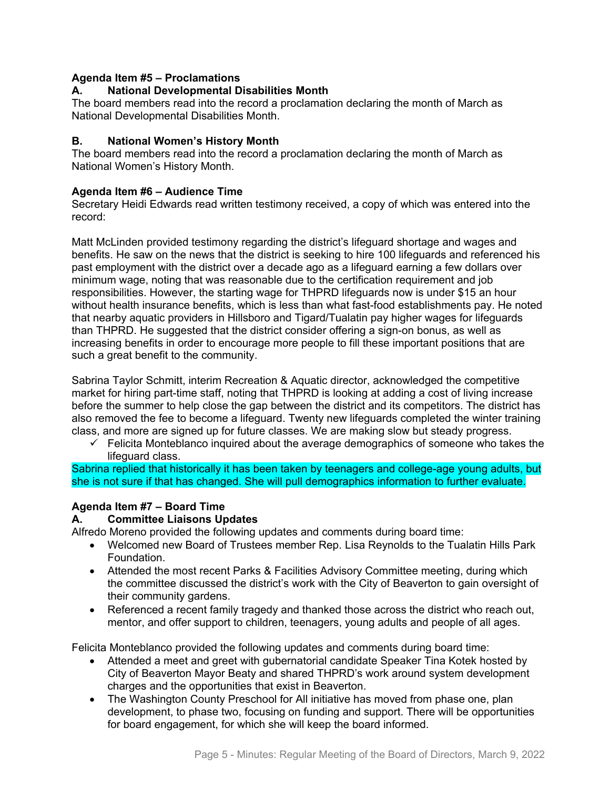# **Agenda Item #5 – Proclamations**

### **A. National Developmental Disabilities Month**

The board members read into the record a proclamation declaring the month of March as National Developmental Disabilities Month.

### **B. National Women's History Month**

The board members read into the record a proclamation declaring the month of March as National Women's History Month.

### **Agenda Item #6 – Audience Time**

Secretary Heidi Edwards read written testimony received, a copy of which was entered into the record:

Matt McLinden provided testimony regarding the district's lifeguard shortage and wages and benefits. He saw on the news that the district is seeking to hire 100 lifeguards and referenced his past employment with the district over a decade ago as a lifeguard earning a few dollars over minimum wage, noting that was reasonable due to the certification requirement and job responsibilities. However, the starting wage for THPRD lifeguards now is under \$15 an hour without health insurance benefits, which is less than what fast-food establishments pay. He noted that nearby aquatic providers in Hillsboro and Tigard/Tualatin pay higher wages for lifeguards than THPRD. He suggested that the district consider offering a sign-on bonus, as well as increasing benefits in order to encourage more people to fill these important positions that are such a great benefit to the community.

Sabrina Taylor Schmitt, interim Recreation & Aquatic director, acknowledged the competitive market for hiring part-time staff, noting that THPRD is looking at adding a cost of living increase before the summer to help close the gap between the district and its competitors. The district has also removed the fee to become a lifeguard. Twenty new lifeguards completed the winter training class, and more are signed up for future classes. We are making slow but steady progress.

 $\checkmark$  Felicita Monteblanco inquired about the average demographics of someone who takes the lifeguard class.

Sabrina replied that historically it has been taken by teenagers and college-age young adults, but she is not sure if that has changed. She will pull demographics information to further evaluate.

# **Agenda Item #7 – Board Time**

### **A. Committee Liaisons Updates**

Alfredo Moreno provided the following updates and comments during board time:

- Welcomed new Board of Trustees member Rep. Lisa Reynolds to the Tualatin Hills Park Foundation.
- Attended the most recent Parks & Facilities Advisory Committee meeting, during which the committee discussed the district's work with the City of Beaverton to gain oversight of their community gardens.
- Referenced a recent family tragedy and thanked those across the district who reach out, mentor, and offer support to children, teenagers, young adults and people of all ages.

Felicita Monteblanco provided the following updates and comments during board time:

- Attended a meet and greet with gubernatorial candidate Speaker Tina Kotek hosted by City of Beaverton Mayor Beaty and shared THPRD's work around system development charges and the opportunities that exist in Beaverton.
- The Washington County Preschool for All initiative has moved from phase one, plan development, to phase two, focusing on funding and support. There will be opportunities for board engagement, for which she will keep the board informed.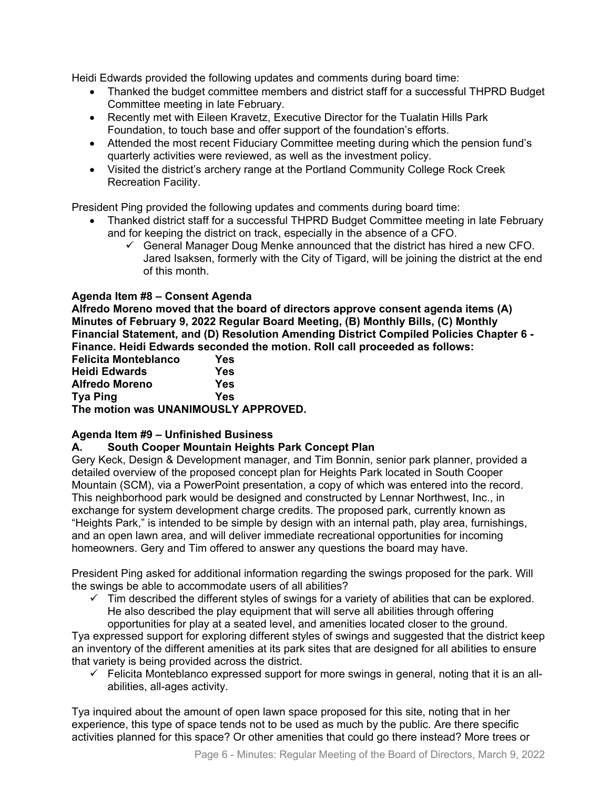Heidi Edwards provided the following updates and comments during board time:

- Thanked the budget committee members and district staff for a successful THPRD Budget Committee meeting in late February.
- Recently met with Eileen Kravetz, Executive Director for the Tualatin Hills Park Foundation, to touch base and offer support of the foundation's efforts.
- Attended the most recent Fiduciary Committee meeting during which the pension fund's quarterly activities were reviewed, as well as the investment policy.
- Visited the district's archery range at the Portland Community College Rock Creek Recreation Facility.

President Ping provided the following updates and comments during board time:

- Thanked district staff for a successful THPRD Budget Committee meeting in late February and for keeping the district on track, especially in the absence of a CFO.
	- $\checkmark$  General Manager Doug Menke announced that the district has hired a new CFO. Jared Isaksen, formerly with the City of Tigard, will be joining the district at the end of this month.

# **Agenda Item #8 – Consent Agenda**

**Alfredo Moreno moved that the board of directors approve consent agenda items (A) Minutes of February 9, 2022 Regular Board Meeting, (B) Monthly Bills, (C) Monthly Financial Statement, and (D) Resolution Amending District Compiled Policies Chapter 6 - Finance. Heidi Edwards seconded the motion. Roll call proceeded as follows:** 

| <b>Felicita Monteblanco</b>          | Yes |
|--------------------------------------|-----|
| <b>Heidi Edwards</b>                 | Yes |
| <b>Alfredo Moreno</b>                | Yes |
| <b>Tya Ping</b>                      | Yes |
| The motion was UNANIMOUSLY APPROVED. |     |

# **Agenda Item #9 – Unfinished Business**

# **A. South Cooper Mountain Heights Park Concept Plan**

Gery Keck, Design & Development manager, and Tim Bonnin, senior park planner, provided a detailed overview of the proposed concept plan for Heights Park located in South Cooper Mountain (SCM), via a PowerPoint presentation, a copy of which was entered into the record. This neighborhood park would be designed and constructed by Lennar Northwest, Inc., in exchange for system development charge credits. The proposed park, currently known as "Heights Park," is intended to be simple by design with an internal path, play area, furnishings, and an open lawn area, and will deliver immediate recreational opportunities for incoming homeowners. Gery and Tim offered to answer any questions the board may have.

President Ping asked for additional information regarding the swings proposed for the park. Will the swings be able to accommodate users of all abilities?

 $\checkmark$  Tim described the different styles of swings for a variety of abilities that can be explored. He also described the play equipment that will serve all abilities through offering opportunities for play at a seated level, and amenities located closer to the ground.

Tya expressed support for exploring different styles of swings and suggested that the district keep an inventory of the different amenities at its park sites that are designed for all abilities to ensure that variety is being provided across the district.

 $\checkmark$  Felicita Monteblanco expressed support for more swings in general, noting that it is an allabilities, all-ages activity.

Tya inquired about the amount of open lawn space proposed for this site, noting that in her experience, this type of space tends not to be used as much by the public. Are there specific activities planned for this space? Or other amenities that could go there instead? More trees or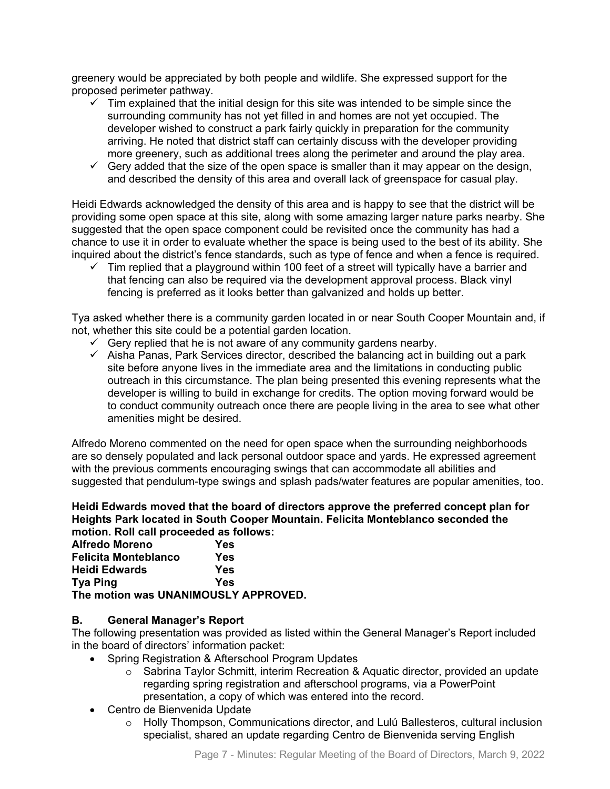greenery would be appreciated by both people and wildlife. She expressed support for the proposed perimeter pathway.

- $\checkmark$  Tim explained that the initial design for this site was intended to be simple since the surrounding community has not yet filled in and homes are not yet occupied. The developer wished to construct a park fairly quickly in preparation for the community arriving. He noted that district staff can certainly discuss with the developer providing more greenery, such as additional trees along the perimeter and around the play area.
- $\checkmark$  Gery added that the size of the open space is smaller than it may appear on the design, and described the density of this area and overall lack of greenspace for casual play.

Heidi Edwards acknowledged the density of this area and is happy to see that the district will be providing some open space at this site, along with some amazing larger nature parks nearby. She suggested that the open space component could be revisited once the community has had a chance to use it in order to evaluate whether the space is being used to the best of its ability. She inquired about the district's fence standards, such as type of fence and when a fence is required.

 $\checkmark$  Tim replied that a playground within 100 feet of a street will typically have a barrier and that fencing can also be required via the development approval process. Black vinyl fencing is preferred as it looks better than galvanized and holds up better.

Tya asked whether there is a community garden located in or near South Cooper Mountain and, if not, whether this site could be a potential garden location.

- $\checkmark$  Gery replied that he is not aware of any community gardens nearby.
- $\checkmark$  Aisha Panas, Park Services director, described the balancing act in building out a park site before anyone lives in the immediate area and the limitations in conducting public outreach in this circumstance. The plan being presented this evening represents what the developer is willing to build in exchange for credits. The option moving forward would be to conduct community outreach once there are people living in the area to see what other amenities might be desired.

Alfredo Moreno commented on the need for open space when the surrounding neighborhoods are so densely populated and lack personal outdoor space and yards. He expressed agreement with the previous comments encouraging swings that can accommodate all abilities and suggested that pendulum-type swings and splash pads/water features are popular amenities, too.

**Heidi Edwards moved that the board of directors approve the preferred concept plan for Heights Park located in South Cooper Mountain. Felicita Monteblanco seconded the motion. Roll call proceeded as follows:** 

| <b>Alfredo Moreno</b>                | Yes |
|--------------------------------------|-----|
| <b>Felicita Monteblanco</b>          | Yes |
| Heidi Edwards                        | Yes |
| <b>Tya Ping</b>                      | Yes |
| The motion was UNANIMOUSLY APPROVED. |     |

# **B. General Manager's Report**

The following presentation was provided as listed within the General Manager's Report included in the board of directors' information packet:

- Spring Registration & Afterschool Program Updates
	- $\circ$  Sabrina Taylor Schmitt, interim Recreation & Aquatic director, provided an update regarding spring registration and afterschool programs, via a PowerPoint presentation, a copy of which was entered into the record.
- Centro de Bienvenida Update
	- $\circ$  Holly Thompson, Communications director, and Lulú Ballesteros, cultural inclusion specialist, shared an update regarding Centro de Bienvenida serving English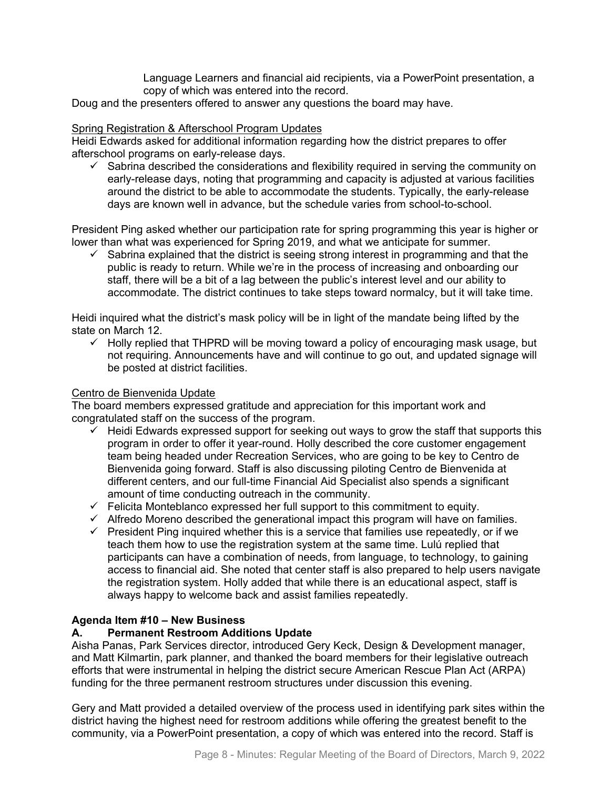Language Learners and financial aid recipients, via a PowerPoint presentation, a copy of which was entered into the record.

Doug and the presenters offered to answer any questions the board may have.

### Spring Registration & Afterschool Program Updates

Heidi Edwards asked for additional information regarding how the district prepares to offer afterschool programs on early-release days.

 $\checkmark$  Sabrina described the considerations and flexibility required in serving the community on early-release days, noting that programming and capacity is adjusted at various facilities around the district to be able to accommodate the students. Typically, the early-release days are known well in advance, but the schedule varies from school-to-school.

President Ping asked whether our participation rate for spring programming this year is higher or lower than what was experienced for Spring 2019, and what we anticipate for summer.

 $\checkmark$  Sabrina explained that the district is seeing strong interest in programming and that the public is ready to return. While we're in the process of increasing and onboarding our staff, there will be a bit of a lag between the public's interest level and our ability to accommodate. The district continues to take steps toward normalcy, but it will take time.

Heidi inquired what the district's mask policy will be in light of the mandate being lifted by the state on March 12.

 $\checkmark$  Holly replied that THPRD will be moving toward a policy of encouraging mask usage, but not requiring. Announcements have and will continue to go out, and updated signage will be posted at district facilities.

### Centro de Bienvenida Update

The board members expressed gratitude and appreciation for this important work and congratulated staff on the success of the program.

- $\checkmark$  Heidi Edwards expressed support for seeking out ways to grow the staff that supports this program in order to offer it year-round. Holly described the core customer engagement team being headed under Recreation Services, who are going to be key to Centro de Bienvenida going forward. Staff is also discussing piloting Centro de Bienvenida at different centers, and our full-time Financial Aid Specialist also spends a significant amount of time conducting outreach in the community.
- $\checkmark$  Felicita Monteblanco expressed her full support to this commitment to equity.
- $\checkmark$  Alfredo Moreno described the generational impact this program will have on families.
- $\checkmark$  President Ping inquired whether this is a service that families use repeatedly, or if we teach them how to use the registration system at the same time. Lulú replied that participants can have a combination of needs, from language, to technology, to gaining access to financial aid. She noted that center staff is also prepared to help users navigate the registration system. Holly added that while there is an educational aspect, staff is always happy to welcome back and assist families repeatedly.

# **Agenda Item #10 – New Business**

### **A. Permanent Restroom Additions Update**

Aisha Panas, Park Services director, introduced Gery Keck, Design & Development manager, and Matt Kilmartin, park planner, and thanked the board members for their legislative outreach efforts that were instrumental in helping the district secure American Rescue Plan Act (ARPA) funding for the three permanent restroom structures under discussion this evening.

Gery and Matt provided a detailed overview of the process used in identifying park sites within the district having the highest need for restroom additions while offering the greatest benefit to the community, via a PowerPoint presentation, a copy of which was entered into the record. Staff is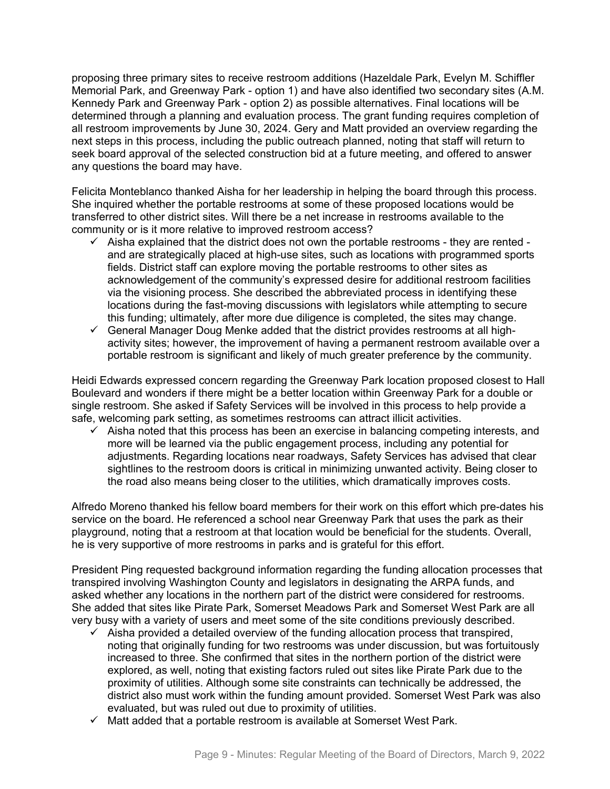proposing three primary sites to receive restroom additions (Hazeldale Park, Evelyn M. Schiffler Memorial Park, and Greenway Park - option 1) and have also identified two secondary sites (A.M. Kennedy Park and Greenway Park - option 2) as possible alternatives. Final locations will be determined through a planning and evaluation process. The grant funding requires completion of all restroom improvements by June 30, 2024. Gery and Matt provided an overview regarding the next steps in this process, including the public outreach planned, noting that staff will return to seek board approval of the selected construction bid at a future meeting, and offered to answer any questions the board may have.

Felicita Monteblanco thanked Aisha for her leadership in helping the board through this process. She inquired whether the portable restrooms at some of these proposed locations would be transferred to other district sites. Will there be a net increase in restrooms available to the community or is it more relative to improved restroom access?

- $\checkmark$  Aisha explained that the district does not own the portable restrooms they are rented and are strategically placed at high-use sites, such as locations with programmed sports fields. District staff can explore moving the portable restrooms to other sites as acknowledgement of the community's expressed desire for additional restroom facilities via the visioning process. She described the abbreviated process in identifying these locations during the fast-moving discussions with legislators while attempting to secure this funding; ultimately, after more due diligence is completed, the sites may change.
- $\checkmark$  General Manager Doug Menke added that the district provides restrooms at all highactivity sites; however, the improvement of having a permanent restroom available over a portable restroom is significant and likely of much greater preference by the community.

Heidi Edwards expressed concern regarding the Greenway Park location proposed closest to Hall Boulevard and wonders if there might be a better location within Greenway Park for a double or single restroom. She asked if Safety Services will be involved in this process to help provide a safe, welcoming park setting, as sometimes restrooms can attract illicit activities.

 $\checkmark$  Aisha noted that this process has been an exercise in balancing competing interests, and more will be learned via the public engagement process, including any potential for adjustments. Regarding locations near roadways, Safety Services has advised that clear sightlines to the restroom doors is critical in minimizing unwanted activity. Being closer to the road also means being closer to the utilities, which dramatically improves costs.

Alfredo Moreno thanked his fellow board members for their work on this effort which pre-dates his service on the board. He referenced a school near Greenway Park that uses the park as their playground, noting that a restroom at that location would be beneficial for the students. Overall, he is very supportive of more restrooms in parks and is grateful for this effort.

President Ping requested background information regarding the funding allocation processes that transpired involving Washington County and legislators in designating the ARPA funds, and asked whether any locations in the northern part of the district were considered for restrooms. She added that sites like Pirate Park, Somerset Meadows Park and Somerset West Park are all very busy with a variety of users and meet some of the site conditions previously described.

- $\checkmark$  Aisha provided a detailed overview of the funding allocation process that transpired, noting that originally funding for two restrooms was under discussion, but was fortuitously increased to three. She confirmed that sites in the northern portion of the district were explored, as well, noting that existing factors ruled out sites like Pirate Park due to the proximity of utilities. Although some site constraints can technically be addressed, the district also must work within the funding amount provided. Somerset West Park was also evaluated, but was ruled out due to proximity of utilities.
- $\checkmark$  Matt added that a portable restroom is available at Somerset West Park.